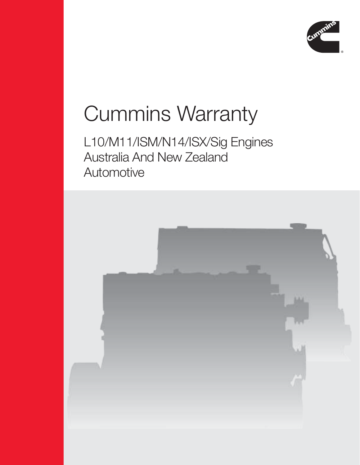

# Cummins Warranty

### L10/M11/ISM/N14/ISX/Sig Engines Australia And New Zealand **Automotive**

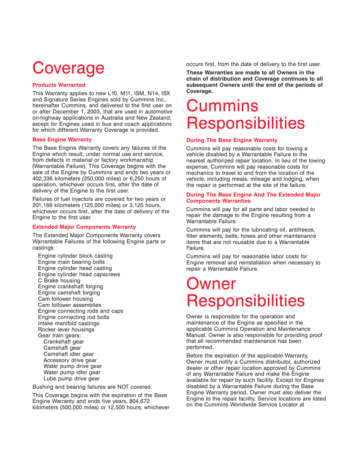## **Coverage**

#### **Products Warranted**

This Warranty applies to new L10, M11, ISM, N14, ISX and Signature Series Engines sold by Cummins Inc., hereinafter Cummins, and delivered to the first user on or after December 1, 2003, that are used in automotive on-highway applications in Australia and New Zealand, except for Engines used in bus and coach applications for which different Warranty Coverage is provided.

#### **Base Engine Warranty**

The Base Engine Warranty covers any failures of the Engine which result, under normal use and service, from defects in material or factory workmanship (Warrantable Failure). This Coverage begins with the sale of the Engine by Cummins and ends two years or 402,336 kilometers (250,000 miles) or 6,250 hours of operation, whichever occurs first, after the date of delivery of the Engine to the first user.

Failures of fuel injectors are covered for two years or 201,168 kilometers (125,000 miles) or 3,125 hours, whichever occurs first, after the date of delivery of the Engine to the first user.

#### **Extended Major Components Warranty**

The Extended Major Components Warranty covers Warrantable Failures of the following Engine parts or castings:

Engine cylinder block casting Engine main bearing bolts Engine cylinder head casting Engine cylinder head capscrews C Brake housing Engine crankshaft forging Engine camshaft forging Cam follower housing Cam follower assemblies Engine connecting rods and caps Engine connecting rod bolts Intake manifold castings Rocker lever housings Gear train gears: Crankshaft gear Camshaft gear Camshaft idler gear Accessory drive gear Water pump drive gear

Water pump idler gear Lube pump drive gear

Bushing and bearing failures are NOT covered.

This Coverage begins with the expiration of the Base Engine Warranty and ends five years, 804,672 kilometers (500,000 miles) or 12,500 hours, whichever occurs first, from the date of delivery to the first user.

**These Warranties are made to all Owners in the chain of distribution and Coverage continues to all subsequent Owners until the end of the periods of Coverage.**

### **Cummins Responsibilities**

#### **During The Base Engine Warranty**

Cummins will pay reasonable costs for towing a vehicle disabled by a Warrantable Failure to the nearest authorized repair location. In lieu of the towing expense, Cummins will pay reasonable costs for mechanics to travel to and from the location of the vehicle, including meals, mileage and lodging, when the repair is performed at the site of the failure.

#### **During The Base Engine And The Extended Major Components Warranties**

Cummins will pay for all parts and labor needed to repair the damage to the Engine resulting from a Warrantable Failure.

Cummins will pay for the lubricating oil, antifreeze, filter elements, belts, hoses and other maintenance items that are not reusable due to a Warrantable Failure.

Cummins will pay for reasonable labor costs for Engine removal and reinstallation when necessary to repair a Warrantable Failure.

### Owner **Responsibilities**

Owner is responsible for the operation and maintenance of the Engine as specified in the applicable Cummins Operation and Maintenance Manual. Owner is also responsible for providing proof that all recommended maintenance has been performed.

Before the expiration of the applicable Warranty, Owner must notify a Cummins distributor, authorized dealer or other repair location approved by Cummins of any Warrantable Failure and make the Engine available for repair by such facility. Except for Engines disabled by a Warrantable Failure during the Base Engine Warranty period, Owner must also deliver the Engine to the repair facility. Service locations are listed on the Cummins Worldwide Service Locator at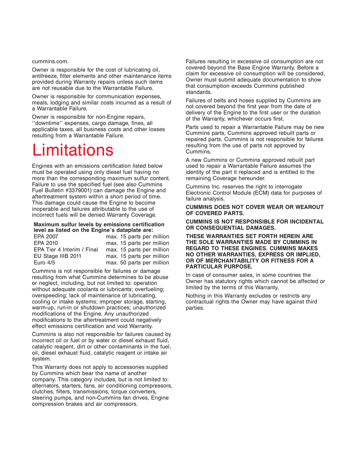#### cummins.com.

Owner is responsible for the cost of lubricating oil, antifreeze, filter elements and other maintenance items provided during Warranty repairs unless such items are not reusable due to the Warrantable Failure.

Owner is responsible for communication expenses, meals, lodging and similar costs incurred as a result of a Warrantable Failure.

Owner is responsible for non-Engine repairs, ''downtime'' expenses, cargo damage, fines, all applicable taxes, all business costs and other losses resulting from a Warrantable Failure.

### **Limitations**

Engines with an emissions certification listed below must be operated using only diesel fuel having no more than the corresponding maximum sulfur content. Failure to use the specified fuel (see also Cummins Fuel Bulletin #3379001) can damage the Engine and aftertreatment system within a short period of time. This damage could cause the Engine to become inoperable and failures attributable to the use of incorrect fuels will be denied Warranty Coverage.

#### **Maximum sulfur levels by emissions certification level as listed on the Engine's dataplate are:**

| max. 15 parts per million |
|---------------------------|
| max. 15 parts per million |
| max. 15 parts per million |
| max. 15 parts per million |
| max. 50 parts per million |
|                           |

Cummins is not responsible for failures or damage resulting from what Cummins determines to be abuse or neglect, including, but not limited to: operation without adequate coolants or lubricants; overfueling; overspeeding; lack of maintenance of lubricating, cooling or intake systems; improper storage, starting, warm-up, run-in or shutdown practices; unauthorized modifications of the Engine. Any unauthorized modifications to the aftertreatment could negatively effect emissions certification and void Warranty.

Cummins is also not responsible for failures caused by incorrect oil or fuel or by water or diesel exhaust fluid, catalytic reagent, dirt or other contaminants in the fuel, oil, diesel exhaust fluid, catalytic reagent or intake air system.

This Warranty does not apply to accessories supplied by Cummins which bear the name of another company. This category includes, but is not limited to: alternators, starters, fans, air conditioning compressors, clutches, filters, transmissions, torque converters, steering pumps, and non-Cummins fan drives, Engine compression brakes and air compressors.

Failures resulting in excessive oil consumption are not covered beyond the Base Engine Warranty. Before a claim for excessive oil consumption will be considered, Owner must submit adequate documentation to show that consumption exceeds Cummins published standards.

Failures of belts and hoses supplied by Cummins are not covered beyond the first year from the date of delivery of the Engine to the first user or the duration of the Warranty, whichever occurs first.

Parts used to repair a Warrantable Failure may be new Cummins parts, Cummins approved rebuilt parts or repaired parts. Cummins is not responsible for failures resulting from the use of parts not approved by Cummins.

A new Cummins or Cummins approved rebuilt part used to repair a Warrantable Failure assumes the identity of the part it replaced and is entitled to the remaining Coverage hereunder.

Cummins Inc. reserves the right to interrogate Electronic Control Module (ECM) data for purposes of failure analysis.

#### **CUMMINS DOES NOT COVER WEAR OR WEAROUT OF COVERED PARTS.**

#### **CUMMINS IS NOT RESPONSIBLE FOR INCIDENTAL OR CONSEQUENTIAL DAMAGES.**

**THESE WARRANTIES SET FORTH HEREIN ARE THE SOLE WARRANTIES MADE BY CUMMINS IN REGARD TO THESE ENGINES. CUMMINS MAKES NO OTHER WARRANTIES, EXPRESS OR IMPLIED, OR OF MERCHANTABILITY OR FITNESS FOR A PARTICULAR PURPOSE.**

In case of consumer sales, in some countries the Owner has statutory rights which cannot be affected or limited by the terms of this Warranty.

Nothing in this Warranty excludes or restricts any contractual rights the Owner may have against third parties.